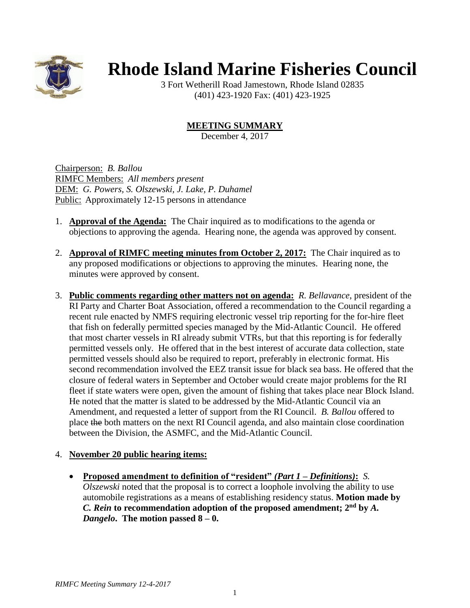

## **Rhode Island Marine Fisheries Council**

3 Fort Wetherill Road Jamestown, Rhode Island 02835 (401) 423-1920 Fax: (401) 423-1925

## **MEETING SUMMARY**

December 4, 2017

Chairperson: *B. Ballou* RIMFC Members: *All members present* DEM: *G. Powers, S. Olszewski, J. Lake, P. Duhamel* Public: Approximately 12-15 persons in attendance

- 1. **Approval of the Agenda:** The Chair inquired as to modifications to the agenda or objections to approving the agenda. Hearing none, the agenda was approved by consent.
- 2. **Approval of RIMFC meeting minutes from October 2, 2017:** The Chair inquired as to any proposed modifications or objections to approving the minutes. Hearing none, the minutes were approved by consent.
- 3. **Public comments regarding other matters not on agenda:** *R. Bellavance*, president of the RI Party and Charter Boat Association, offered a recommendation to the Council regarding a recent rule enacted by NMFS requiring electronic vessel trip reporting for the for-hire fleet that fish on federally permitted species managed by the Mid-Atlantic Council. He offered that most charter vessels in RI already submit VTRs, but that this reporting is for federally permitted vessels only. He offered that in the best interest of accurate data collection, state permitted vessels should also be required to report, preferably in electronic format. His second recommendation involved the EEZ transit issue for black sea bass. He offered that the closure of federal waters in September and October would create major problems for the RI fleet if state waters were open, given the amount of fishing that takes place near Block Island. He noted that the matter is slated to be addressed by the Mid-Atlantic Council via an Amendment, and requested a letter of support from the RI Council. *B. Ballou* offered to place the both matters on the next RI Council agenda, and also maintain close coordination between the Division, the ASMFC, and the Mid-Atlantic Council.

## 4. **November 20 public hearing items:**

• **Proposed amendment to definition of "resident"** *(Part 1 – Definitions)***:** *S. Olszewski* noted that the proposal is to correct a loophole involving the ability to use automobile registrations as a means of establishing residency status. **Motion made by**  *C. Rein* **to recommendation adoption of the proposed amendment; 2nd by** *A. Dangelo***. The motion passed 8 – 0.**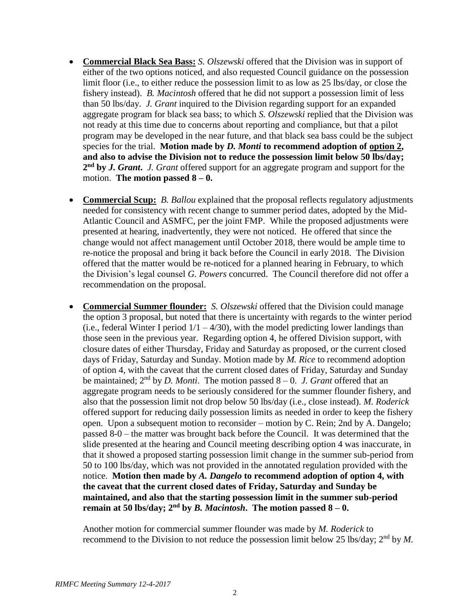- **Commercial Black Sea Bass:** *S. Olszewski* offered that the Division was in support of either of the two options noticed, and also requested Council guidance on the possession limit floor (i.e., to either reduce the possession limit to as low as 25 lbs/day, or close the fishery instead). *B. Macintosh* offered that he did not support a possession limit of less than 50 lbs/day. *J. Grant* inquired to the Division regarding support for an expanded aggregate program for black sea bass; to which *S. Olszewski* replied that the Division was not ready at this time due to concerns about reporting and compliance, but that a pilot program may be developed in the near future, and that black sea bass could be the subject species for the trial. **Motion made by** *D. Monti* **to recommend adoption of option 2, and also to advise the Division not to reduce the possession limit below 50 lbs/day; 2 nd by** *J. Grant***.** *J. Grant* offered support for an aggregate program and support for the motion. **The motion passed**  $8 - 0$ **.**
- **Commercial Scup:** *B. Ballou* explained that the proposal reflects regulatory adjustments needed for consistency with recent change to summer period dates, adopted by the Mid-Atlantic Council and ASMFC, per the joint FMP. While the proposed adjustments were presented at hearing, inadvertently, they were not noticed. He offered that since the change would not affect management until October 2018, there would be ample time to re-notice the proposal and bring it back before the Council in early 2018. The Division offered that the matter would be re-noticed for a planned hearing in February, to which the Division's legal counsel *G. Powers* concurred. The Council therefore did not offer a recommendation on the proposal.
- **Commercial Summer flounder:** *S. Olszewski* offered that the Division could manage the option 3 proposal, but noted that there is uncertainty with regards to the winter period (i.e., federal Winter I period  $1/1 - 4/30$ ), with the model predicting lower landings than those seen in the previous year. Regarding option 4, he offered Division support, with closure dates of either Thursday, Friday and Saturday as proposed, or the current closed days of Friday, Saturday and Sunday. Motion made by *M. Rice* to recommend adoption of option 4, with the caveat that the current closed dates of Friday, Saturday and Sunday be maintained;  $2<sup>nd</sup>$  by *D. Monti*. The motion passed  $8-0$ . *J. Grant* offered that an aggregate program needs to be seriously considered for the summer flounder fishery, and also that the possession limit not drop below 50 lbs/day (i.e., close instead). *M. Roderick* offered support for reducing daily possession limits as needed in order to keep the fishery open. Upon a subsequent motion to reconsider – motion by C. Rein; 2nd by A. Dangelo; passed 8-0 – the matter was brought back before the Council. It was determined that the slide presented at the hearing and Council meeting describing option 4 was inaccurate, in that it showed a proposed starting possession limit change in the summer sub-period from 50 to 100 lbs/day, which was not provided in the annotated regulation provided with the notice. **Motion then made by** *A. Dangelo* **to recommend adoption of option 4, with the caveat that the current closed dates of Friday, Saturday and Sunday be maintained, and also that the starting possession limit in the summer sub-period remain at 50 lbs/day;**  $2^{nd}$  **by** *B. Macintosh***. The motion passed**  $8 - 0$ **.**

Another motion for commercial summer flounder was made by *M. Roderick* to recommend to the Division to not reduce the possession limit below 25 lbs/day; 2nd by *M.*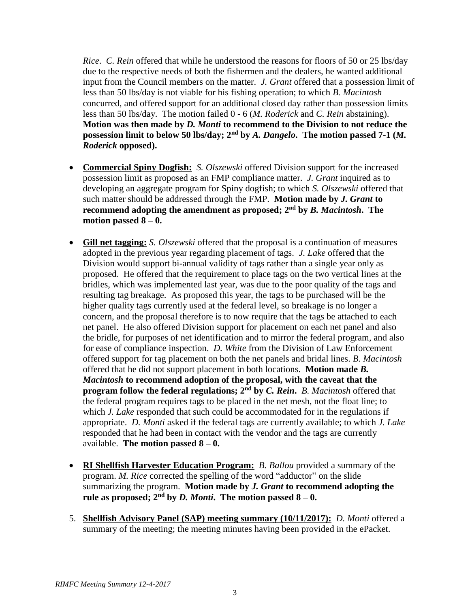*Rice*. *C. Rein* offered that while he understood the reasons for floors of 50 or 25 lbs/day due to the respective needs of both the fishermen and the dealers, he wanted additional input from the Council members on the matter. *J. Grant* offered that a possession limit of less than 50 lbs/day is not viable for his fishing operation; to which *B. Macintosh* concurred, and offered support for an additional closed day rather than possession limits less than 50 lbs/day. The motion failed 0 - 6 (*M. Roderick* and *C. Rein* abstaining). **Motion was then made by** *D. Monti* **to recommend to the Division to not reduce the possession limit to below 50 lbs/day; 2nd by** *A. Dangelo***. The motion passed 7-1 (***M. Roderick* **opposed).**

- **Commercial Spiny Dogfish:** *S. Olszewski* offered Division support for the increased possession limit as proposed as an FMP compliance matter. *J. Grant* inquired as to developing an aggregate program for Spiny dogfish; to which *S. Olszewski* offered that such matter should be addressed through the FMP. **Motion made by** *J. Grant* **to recommend adopting the amendment as proposed; 2nd by** *B. Macintosh***. The** motion passed  $8 - 0$ .
- **Gill net tagging:** *S. Olszewski* offered that the proposal is a continuation of measures adopted in the previous year regarding placement of tags. *J. Lake* offered that the Division would support bi-annual validity of tags rather than a single year only as proposed. He offered that the requirement to place tags on the two vertical lines at the bridles, which was implemented last year, was due to the poor quality of the tags and resulting tag breakage. As proposed this year, the tags to be purchased will be the higher quality tags currently used at the federal level, so breakage is no longer a concern, and the proposal therefore is to now require that the tags be attached to each net panel. He also offered Division support for placement on each net panel and also the bridle, for purposes of net identification and to mirror the federal program, and also for ease of compliance inspection. *D. White* from the Division of Law Enforcement offered support for tag placement on both the net panels and bridal lines. *B. Macintosh* offered that he did not support placement in both locations. **Motion made** *B. Macintosh* **to recommend adoption of the proposal, with the caveat that the program follow the federal regulations; 2nd by** *C. Rein***.** *B. Macintosh* offered that the federal program requires tags to be placed in the net mesh, not the float line; to which *J. Lake* responded that such could be accommodated for in the regulations if appropriate. *D. Monti* asked if the federal tags are currently available; to which *J. Lake* responded that he had been in contact with the vendor and the tags are currently available. **The motion passed 8 – 0.**
- **RI Shellfish Harvester Education Program:** *B. Ballou* provided a summary of the program. *M. Rice* corrected the spelling of the word "adductor" on the slide summarizing the program. **Motion made by** *J. Grant* **to recommend adopting the**  rule as proposed;  $2<sup>nd</sup>$  by *D. Monti*. The motion passed  $8-0$ .
- 5. **Shellfish Advisory Panel (SAP) meeting summary (10/11/2017):** *D. Monti* offered a summary of the meeting; the meeting minutes having been provided in the ePacket.